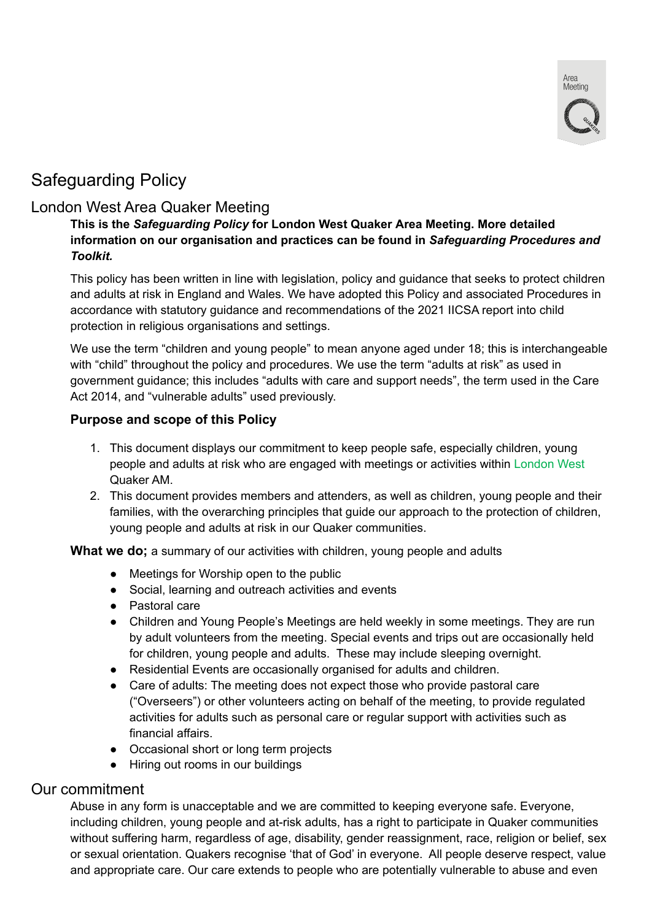

# Safeguarding Policy

# London West Area Quaker Meeting

## **This is the** *Safeguarding Policy* **for London West Quaker Area Meeting. More detailed information on our organisation and practices can be found in** *Safeguarding Procedures and Toolkit.*

This policy has been written in line with legislation, policy and guidance that seeks to protect children and adults at risk in England and Wales. We have adopted this Policy and associated Procedures in accordance with statutory guidance and recommendations of the 2021 IICSA report into child protection in religious organisations and settings.

We use the term "children and young people" to mean anyone aged under 18; this is interchangeable with "child" throughout the policy and procedures. We use the term "adults at risk" as used in government guidance; this includes "adults with care and support needs", the term used in the Care Act 2014, and "vulnerable adults" used previously.

## **Purpose and scope of this Policy**

- 1. This document displays our commitment to keep people safe, especially children, young people and adults at risk who are engaged with meetings or activities within London West Quaker AM.
- 2. This document provides members and attenders, as well as children, young people and their families, with the overarching principles that guide our approach to the protection of children, young people and adults at risk in our Quaker communities.

What we do; a summary of our activities with children, young people and adults

- Meetings for Worship open to the public
- Social, learning and outreach activities and events
- Pastoral care
- Children and Young People's Meetings are held weekly in some meetings. They are run by adult volunteers from the meeting. Special events and trips out are occasionally held for children, young people and adults. These may include sleeping overnight.
- Residential Events are occasionally organised for adults and children.
- Care of adults: The meeting does not expect those who provide pastoral care ("Overseers") or other volunteers acting on behalf of the meeting, to provide regulated activities for adults such as personal care or regular support with activities such as financial affairs.
- *●* Occasional short or long term projects
- *●* Hiring out rooms in our buildings

# Our commitment

Abuse in any form is unacceptable and we are committed to keeping everyone safe. Everyone, including children, young people and at-risk adults, has a right to participate in Quaker communities without suffering harm, regardless of age, disability, gender reassignment, race, religion or belief, sex or sexual orientation. Quakers recognise 'that of God' in everyone. All people deserve respect, value and appropriate care. Our care extends to people who are potentially vulnerable to abuse and even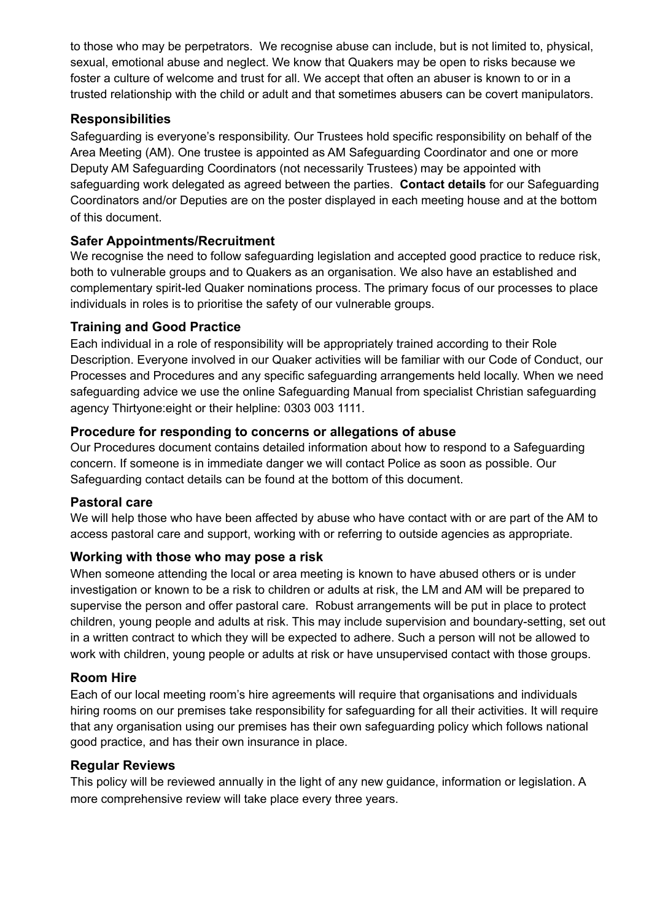to those who may be perpetrators. We recognise abuse can include, but is not limited to, physical, sexual, emotional abuse and neglect. We know that Quakers may be open to risks because we foster a culture of welcome and trust for all. We accept that often an abuser is known to or in a trusted relationship with the child or adult and that sometimes abusers can be covert manipulators.

# **Responsibilities**

Safeguarding is everyone's responsibility. Our Trustees hold specific responsibility on behalf of the Area Meeting (AM). One trustee is appointed as AM Safeguarding Coordinator and one or more Deputy AM Safeguarding Coordinators (not necessarily Trustees) may be appointed with safeguarding work delegated as agreed between the parties. **Contact details** for our Safeguarding Coordinators and/or Deputies are on the poster displayed in each meeting house and at the bottom of this document.

# **Safer Appointments/Recruitment**

We recognise the need to follow safeguarding legislation and accepted good practice to reduce risk, both to vulnerable groups and to Quakers as an organisation. We also have an established and complementary spirit-led Quaker nominations process. The primary focus of our processes to place individuals in roles is to prioritise the safety of our vulnerable groups.

#### **Training and Good Practice**

Each individual in a role of responsibility will be appropriately trained according to their Role Description. Everyone involved in our Quaker activities will be familiar with our Code of Conduct, our Processes and Procedures and any specific safeguarding arrangements held locally. When we need safeguarding advice we use the online Safeguarding Manual from specialist Christian safeguarding agency Thirtyone:eight or their helpline: 0303 003 1111.

## **Procedure for responding to concerns or allegations of abuse**

Our Procedures document contains detailed information about how to respond to a Safeguarding concern. If someone is in immediate danger we will contact Police as soon as possible. Our Safeguarding contact details can be found at the bottom of this document.

#### **Pastoral care**

We will help those who have been affected by abuse who have contact with or are part of the AM to access pastoral care and support, working with or referring to outside agencies as appropriate.

#### **Working with those who may pose a risk**

When someone attending the local or area meeting is known to have abused others or is under investigation or known to be a risk to children or adults at risk, the LM and AM will be prepared to supervise the person and offer pastoral care. Robust arrangements will be put in place to protect children, young people and adults at risk. This may include supervision and boundary-setting, set out in a written contract to which they will be expected to adhere. Such a person will not be allowed to work with children, young people or adults at risk or have unsupervised contact with those groups.

# **Room Hire**

Each of our local meeting room's hire agreements will require that organisations and individuals hiring rooms on our premises take responsibility for safeguarding for all their activities. It will require that any organisation using our premises has their own safeguarding policy which follows national good practice, and has their own insurance in place.

#### **Regular Reviews**

This policy will be reviewed annually in the light of any new guidance, information or legislation. A more comprehensive review will take place every three years.